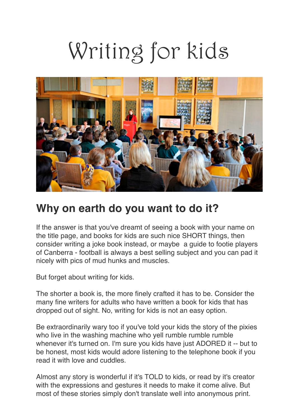# Writing for kids



### **Why on earth do you want to do it?**

If the answer is that you've dreamt of seeing a book with your name on the title page, and books for kids are such nice SHORT things, then consider writing a joke book instead, or maybe a guide to footie players of Canberra - football is always a best selling subject and you can pad it nicely with pics of mud hunks and muscles.

But forget about writing for kids.

The shorter a book is, the more finely crafted it has to be. Consider the many fine writers for adults who have written a book for kids that has dropped out of sight. No, writing for kids is not an easy option.

Be extraordinarily wary too if you've told your kids the story of the pixies who live in the washing machine who yell rumble rumble rumble whenever it's turned on. I'm sure you kids have just ADORED it -- but to be honest, most kids would adore listening to the telephone book if you read it with love and cuddles.

Almost any story is wonderful if it's TOLD to kids, or read by it's creator with the expressions and gestures it needs to make it come alive. But most of these stories simply don't translate well into anonymous print.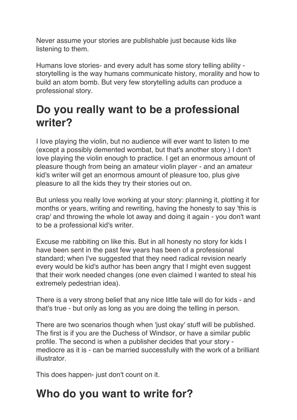Never assume your stories are publishable just because kids like listening to them.

Humans love stories- and every adult has some story telling ability storytelling is the way humans communicate history, morality and how to build an atom bomb. But very few storytelling adults can produce a professional story.

#### **Do you really want to be a professional writer?**

I love playing the violin, but no audience will ever want to listen to me (except a possibly demented wombat, but that's another story.) I don't love playing the violin enough to practice. I get an enormous amount of pleasure though from being an amateur violin player - and an amateur kid's writer will get an enormous amount of pleasure too, plus give pleasure to all the kids they try their stories out on.

But unless you really love working at your story: planning it, plotting it for months or years, writing and rewriting, having the honesty to say 'this is crap' and throwing the whole lot away and doing it again - you don't want to be a professional kid's writer.

Excuse me rabbiting on like this. But in all honesty no story for kids I have been sent in the past few years has been of a professional standard; when I've suggested that they need radical revision nearly every would be kid's author has been angry that I might even suggest that their work needed changes (one even claimed I wanted to steal his extremely pedestrian idea).

There is a very strong belief that any nice little tale will do for kids - and that's true - but only as long as you are doing the telling in person.

There are two scenarios though when 'just okay' stuff will be published. The first is if you are the Duchess of Windsor, or have a similar public profile. The second is when a publisher decides that your story mediocre as it is - can be married successfully with the work of a brilliant illustrator.

This does happen- just don't count on it.

### **Who do you want to write for?**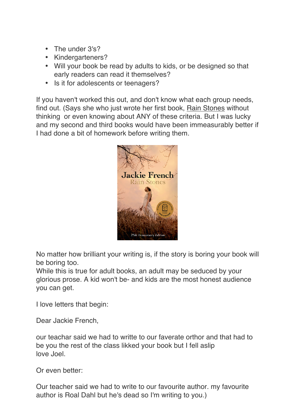- The under 3's?
- Kindergarteners?
- Will your book be read by adults to kids, or be designed so that early readers can read it themselves?
- Is it for adolescents or teenagers?

If you haven't worked this out, and don't know what each group needs, find out. (Says she who just wrote her first book, Rain Stones without thinking or even knowing about ANY of these criteria. But I was lucky and my second and third books would have been immeasurably better if I had done a bit of homework before writing them.



No matter how brilliant your writing is, if the story is boring your book will be boring too.

While this is true for adult books, an adult may be seduced by your glorious prose. A kid won't be- and kids are the most honest audience you can get.

I love letters that begin:

Dear Jackie French,

our teachar said we had to writte to our faverate orthor and that had to be you the rest of the class likked your book but I fell aslip love Joel.

Or even better:

Our teacher said we had to write to our favourite author. my favourite author is Roal Dahl but he's dead so I'm writing to you.)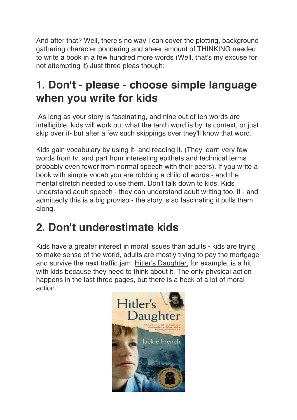And after that? Well, there's no way I can cover the plotting, background gathering character pondering and sheer amount of THINKING needed to write a book in a few hundred more words (Well, that's my excuse for not attempting it) Just three pleas though:

## **1. Don't - please - choose simple language when you write for kids**

As long as your story is fascinating, and nine out of ten words are intelligible, kids will work out what the tenth word is by its context, or just skip over it- but after a few such skippings over they'll know that word.

Kids gain vocabulary by using it- and reading it. (They learn very few words from tv, and part from interesting epithets and technical terms probably even fewer from normal speech with their peers). If you write a book with simple vocab you are robbing a child of words - and the mental stretch needed to use them. Don't talk down to kids. Kids understand adult speech - they can understand adult writing too, if - and admittedly this is a big proviso - the story is so fascinating it pulls them along.

# **2. Don't underestimate kids**

Kids have a greater interest in moral issues than adults - kids are trying to make sense of the world, adults are mostly trying to pay the mortgage and survive the next traffic jam. Hitler's Daughter, for example, is a hit with kids because they need to think about it. The only physical action happens in the last three pages, but there is a heck of a lot of moral action.